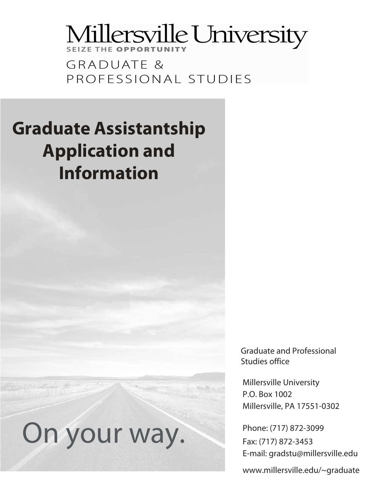# Millersville University

**GRADUATE &** PROFESSIONAL STUDIES

# **Graduate Assistantship Application and Information**

On your way.

Graduate and Professional Studies office

Millersville University P.O. Box 1002 Millersville, PA 17551-0302

Phone: (717) 872-3099 Fax: (717) 872-3453 E-mail: gradstu@millersville.edu

www.millersville.edu/~graduate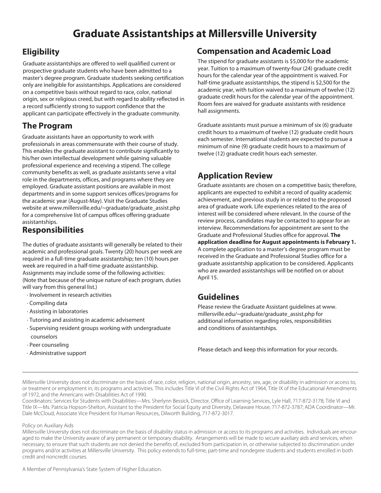## **Graduate Assistantships at Millersville University**

#### **Eligibility**

Graduate assistantships are offered to well qualified current or prospective graduate students who have been admitted to a master's degree program. Graduate students seeking certification only are ineligible for assistantships. Applications are considered on a competitive basis without regard to race, color, national origin, sex or religious creed, but with regard to ability reflected in a record sufficiently strong to support confidence that the applicant can participate effectively in the graduate community.

#### **The Program**

Graduate assistants have an opportunity to work with professionals in areas commensurate with their course of study. This enables the graduate assistant to contribute significantly to his/her own intellectual development while gaining valuable professional experience and receiving a stipend. The college community benefits as well, as graduate assistants serve a vital role in the departments, offices, and programs where they are employed. Graduate assistant positions are available in most departments and in some support services offices/programs for the academic year (August-May). Visit the Graduate Studies website at www.millersville.edu/~graduate/graduate\_assist.php for a comprehensive list of campus offices offering graduate assistantships.

#### **Responsibilities**

The duties of graduate assistants will generally be related to their academic and professional goals. Twenty (20) hours per week are required in a full-time graduate assistantship; ten (10) hours per week are required in a half-time graduate assistantship. Assignments may include some of the following activities: (Note that because of the unique nature of each program, duties will vary from this general list.)

- · Involvement in research activities
- · Compiling data
- · Assisting in laboratories
- · Tutoring and assisting in academic advisement
- · Supervising resident groups working with undergraduate counselors
- · Peer counseling
- · Administrative support

#### **Compensation and Academic Load**

The stipend for graduate assistants is \$5,000 for the academic year. Tuition to a maximum of twenty-four (24) graduate credit hours for the calendar year of the appointment is waived. For half-time graduate assistantships, the stipend is \$2,500 for the academic year, with tuition waived to a maximum of twelve (12) graduate credit hours for the calendar year of the appointment. Room fees are waived for graduate assistants with residence hall assignments.

Graduate assistants must pursue a minimum of six (6) graduate credit hours to a maximum of twelve (12) graduate credit hours each semester. International students are expected to pursue a minimum of nine (9) graduate credit hours to a maximum of twelve (12) graduate credit hours each semester.

#### **Application Review**

Graduate assistants are chosen on a competitive basis; therefore, applicants are expected to exhibit a record of quality academic achievement, and previous study in or related to the proposed area of graduate work. Life experiences related to the area of interest will be considered where relevant. In the course of the review process, candidates may be contacted to appear for an interview. Recommendations for appointment are sent to the Graduate and Professional Studies office for approval. **The application deadline for August appointments is February 1.**  A complete application to a master's degree program must be received in the Graduate and Professional Studies office for a graduate assistantship application to be considered. Applicants who are awarded assistantships will be notified on or about April 15.

#### **Guidelines**

Please review the Graduate Assistant guidelines at www. millersville.edu/~graduate/graduate\_assist.php for additional information regarding roles, responsibilities and conditions of assistantships.

Please detach and keep this information for your records.

Millersville University does not discriminate on the basis of race, color, religion, national origin, ancestry, sex, age, or disability in admission or access to, or treatment or employment in, its programs and activities. This includes Title VI of the Civil Rights Act of 1964, Title IX of the Educational Amendments of 1972, and the Americans with Disabilities Act of 1990.

Coordinators: Services for Students with Disabilities—Mrs. Sherlynn Bessick, Director, Office of Learning Services, Lyle Hall, 717-872-3178; Title VI and Title IX—Ms. Patricia Hopson-Shelton, Assistant to the President for Social Equity and Diversity, Delaware House, 717-872-3787; ADA Coordinator—Mr. Dale McCloud, Associate Vice President for Human Resources, Dilworth Building, 717-872-3017.

#### Policy on Auxiliary Aids

Millersville University does not discriminate on the basis of disability status in admission or access to its programs and activities. Individuals are encouraged to make the University aware of any permanent or temporary disability. Arrangements will be made to secure auxiliary aids and services, when necessary, to ensure that such students are not denied the benefits of, excluded from participation in, or otherwise subjected to discrimination under programs and/or activities at Millersville University. This policy extends to full-time, part-time and nondegree students and students enrolled in both credit and noncredit courses.

A Member of Pennsylvania's State System of Higher Education.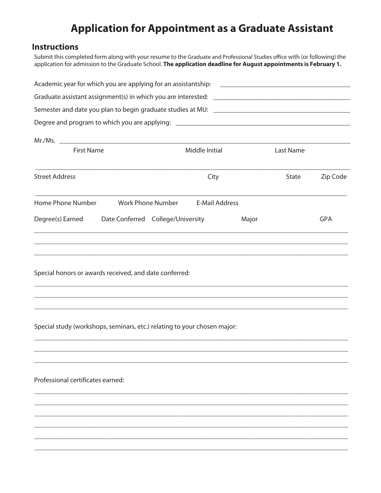### **Application for Appointment as a Graduate Assistant**

#### **Instructions**

Submit this completed form along with your resume to the Graduate and Professional Studies office with (or following) the application for admission to the Graduate School. The application deadline for August appointments is February 1.

| Semester and date you plan to begin graduate studies at MU: [14] Demonstration and date you plan to begin gradu |                                   |                       |           |            |
|-----------------------------------------------------------------------------------------------------------------|-----------------------------------|-----------------------|-----------|------------|
|                                                                                                                 |                                   |                       |           |            |
|                                                                                                                 |                                   |                       |           |            |
| <b>First Name</b>                                                                                               |                                   | Middle Initial        | Last Name |            |
| <b>Street Address</b>                                                                                           |                                   | City                  | State     | Zip Code   |
| Home Phone Number Work Phone Number                                                                             |                                   | <b>E-Mail Address</b> |           |            |
| Degree(s) Earned                                                                                                | Date Conferred College/University | Major                 |           | <b>GPA</b> |
| Special honors or awards received, and date conferred:                                                          |                                   |                       |           |            |
| Special study (workshops, seminars, etc.) relating to your chosen major:                                        |                                   |                       |           |            |
| Professional certificates earned:                                                                               |                                   |                       |           |            |
|                                                                                                                 |                                   |                       |           |            |
|                                                                                                                 |                                   |                       |           |            |